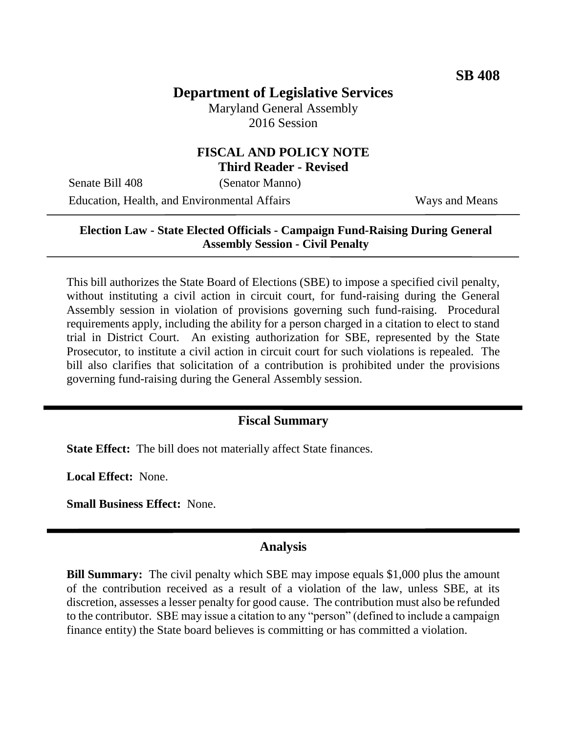# **Department of Legislative Services**

Maryland General Assembly 2016 Session

## **FISCAL AND POLICY NOTE Third Reader - Revised**

Senate Bill 408 (Senator Manno) Education, Health, and Environmental Affairs Ways and Means

## **Election Law - State Elected Officials - Campaign Fund-Raising During General Assembly Session - Civil Penalty**

This bill authorizes the State Board of Elections (SBE) to impose a specified civil penalty, without instituting a civil action in circuit court, for fund-raising during the General Assembly session in violation of provisions governing such fund-raising. Procedural requirements apply, including the ability for a person charged in a citation to elect to stand trial in District Court. An existing authorization for SBE, represented by the State Prosecutor, to institute a civil action in circuit court for such violations is repealed. The bill also clarifies that solicitation of a contribution is prohibited under the provisions governing fund-raising during the General Assembly session.

## **Fiscal Summary**

**State Effect:** The bill does not materially affect State finances.

**Local Effect:** None.

**Small Business Effect:** None.

#### **Analysis**

**Bill Summary:** The civil penalty which SBE may impose equals \$1,000 plus the amount of the contribution received as a result of a violation of the law, unless SBE, at its discretion, assesses a lesser penalty for good cause. The contribution must also be refunded to the contributor. SBE may issue a citation to any "person" (defined to include a campaign finance entity) the State board believes is committing or has committed a violation.